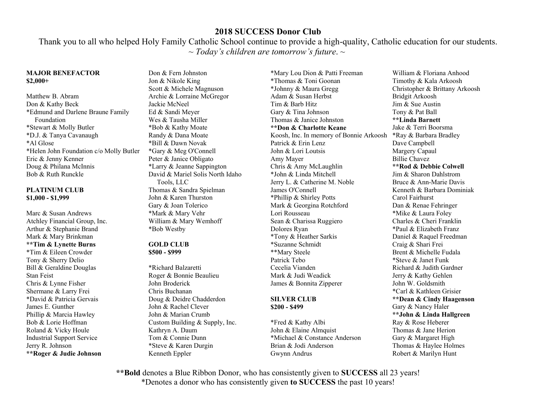Thank you to all who helped Holy Family Catholic School continue to provide a high-quality, Catholic education for our students. ~ *Today's children are tomorrow's future*. ~

#### **MAJOR BENEFACTOR \$2,000+**

Matthew B. Abram Don & Kathy Beck \*Edmund and Darlene Braune Family Foundation \*Stewart & Molly Butler \*D.J. & Tanya Cavanaugh \*Al Glose \*Helen John Foundation c/o Molly Butler Eric & Jenny Kenner Doug & Philana McInnis Bob & Ruth Runckle

### **PLATINUM CLUB \$1,000 - \$1,999**

Marc & Susan Andrews Atchley Financial Group, Inc. Arthur & Stephanie Brand Mark & Mary Brinkman **\*\*Tim & Lynette Burns**  \*Tim & Eileen Crowder Tony & Sherry Delio Bill & Geraldine Douglas Stan Feist Chris & Lynne Fisher Shermane & Larry Frei \*David & Patricia Gervais James E. Gunther Phillip & Marcia Hawley Bob & Lorie Hoffman Roland & Vicky Houle Industrial Support Service Jerry R. Johnson **\*\*Roger & Judie Johnson** 

Don & Fern Johnston Jon & Nikole King Scott & Michele Magnuson Archie & Lorraine McGregor Jackie McNeel Ed & Sandi Meyer Wes & Tausha Miller \*Bob & Kathy Moate Randy & Dana Moate \*Bill & Dawn Novak \*Gary & Meg O'Connell Peter & Janice Obligato \*Larry & Jeanne Sappington David & Mariel Solis North Idaho Tools, LLC Thomas & Sandra Spielman John & Karen Thurston Gary & Joan Tolerico \*Mark & Mary Vehr William & Mary Wemhoff \*Bob Westby

#### **GOLD CLUB \$500 - \$999**

\*Richard Balzaretti Roger & Bonnie Beaulieu John Broderick Chris Buchanan Doug & Deidre Chadderdon John & Rachel Clever John & Marian Crumb Custom Building & Supply, Inc. Kathryn A. Daum Tom & Connie Dunn \*Steve & Karen Durgin Kenneth Eppler

\*Mary Lou Dion & Patti Freeman \*Thomas & Toni Goonan \*Johnny & Maura Gregg Adam & Susan Herbst Tim & Barb Hitz Gary & Tina Johnson Thomas & Janice Johnston **\*\*Don & Charlotte Keane**  Koosh, Inc. In memory of Bonnie Arkoosh Patrick & Erin Lenz John & Lori Loutsis Amy Mayer Chris & Amy McLaughlin \*John & Linda Mitchell Jerry L. & Catherine M. Noble James O'Connell \*Phillip & Shirley Potts Mark & Georgina Rotchford Lori Rousseau Sean & Charissa Ruggiero Dolores Ryan \*Tony & Heather Sarkis \*Suzanne Schmidt \*\*Mary Steele Patrick Tebo Cecelia Vianden Mark & Judi Weadick James & Bonnita Zipperer

### **SILVER CLUB \$200 - \$499**

\*Fred & Kathy Albi John & Elaine Almquist \*Michael & Constance Anderson Brian & Jodi Anderson Gwynn Andrus

William & Floriana Anhood Timothy & Kala Arkoosh Christopher & Brittany Arkoosh Bridgit Arkoosh Jim & Sue Austin Tony & Pat Ball **\*\*Linda Barnett**  Jake & Terri Boorsma \*Ray & Barbara Bradley Dave Campbell Margery Capaul Billie Chavez **\*\*Rod & Debbie Colwell**  Jim & Sharon Dahlstrom Bruce & Ann-Marie Davis Kenneth & Barbara Dominiak Carol Fairhurst Dan & Renae Fehringer \*Mike & Laura Foley Charles & Cheri Franklin \*Paul & Elizabeth Franz Daniel & Raquel Freedman Craig & Shari Frei Brent & Michelle Fudala \*Steve & Janet Funk Richard & Judith Gardner Jerry & Kathy Gehlen John W. Goldsmith \*Carl & Kathleen Grisier **\*\*Dean & Cindy Haagenson**  Gary & Nancy Haler **\*\*John & Linda Hallgreen**  Ray & Rose Heberer Thomas & Jane Herion Gary & Margaret High Thomas & Haylee Holmes Robert & Marilyn Hunt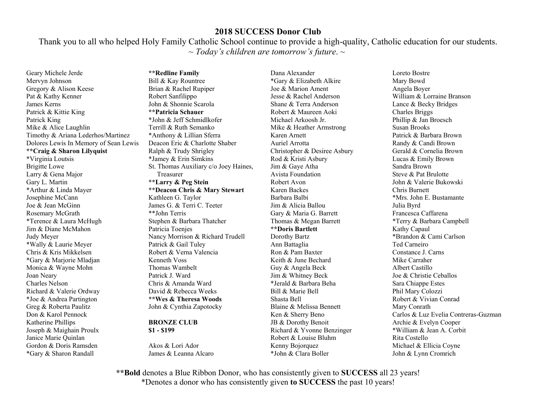Thank you to all who helped Holy Family Catholic School continue to provide a high-quality, Catholic education for our students. ~ *Today's children are tomorrow's future*. ~

Geary Michele Jerde Mervyn Johnson Gregory & Alison Keese Pat & Kathy Kenner James Kerns Patrick & Kittie King Patrick King Mike & Alice Laughlin Timothy & Ariana Lederhos/Martinez Dolores Lewis In Memory of Sean Lewis **\*\*Craig & Sharon Lilyquist**  \*Virginia Loutsis Brigitte Lowe Larry & Gena Major Gary L. Martin \*Arthur & Linda Mayer Josephine McCann Joe & Jean McGinn Rosemary McGrath \*Terence & Laura McHugh Jim & Diane McMahon Judy Meyer \*Wally & Laurie Meyer Chris & Kris Mikkelsen \*Gary & Marjorie Mladjan Monica & Wayne Mohn Joan Neary Charles Nelson Richard & Valerie Ordway \*Joe & Andrea Partington Greg & Roberta Paulitz Don & Karol Pennock Katherine Phillips Joseph & Maighain Proulx Janice Marie Quinlan Gordon & Doris Ramsden \*Gary & Sharon Randall

**\*\*Redline Family**  Bill & Kay Rountree Brian & Rachel Rupiper Robert Sanfilippo John & Shonnie Scarola **\*\*Patricia Schauer**  \*John & Jeff Schmidlkofer Terrill & Ruth Semanko \*Anthony & Lillian Sferra Deacon Eric & Charlotte Shaber Ralph & Trudy Shrigley \*Jamey & Erin Simkins St. Thomas Auxiliary c/o Joey Haines, Treasurer **\*\*Larry & Peg Stein \*\*Deacon Chris & Mary Stewart**  Kathleen G. Taylor James G. & Terri C. Teeter \*\*John Terris Stephen & Barbara Thatcher Patricia Toenjes Nancy Morrison & Richard Trudell Patrick & Gail Tuley Robert & Verna Valencia Kenneth Voss Thomas Wambelt Patrick J. Ward Chris & Amanda Ward David & Rebecca Weeks **\*\*Wes & Theresa Woods**  John & Cynthia Zapotocky

#### **BRONZE CLUB \$1 - \$199**

Akos & Lori Ador James & Leanna Alcaro

Dana Alexander \*Gary & Elizabeth Alkire Joe & Marion Ament Jesse & Rachel Anderson Shane & Terra Anderson Robert & Maureen Aoki Michael Arkoosh Jr. Mike & Heather Armstrong Karen Arnett Auriel Arrotta Christopher & Desiree Asbury Rod & Kristi Asbury Jim & Gaye Atha Avista Foundation Robert Avon Karen Backes Barbara Balbi Jim & Alicia Ballou Gary & Maria G. Barrett Thomas & Megan Barrett **\*\*Doris Bartlett**  Dorothy Bartz Ann Battaglia Ron & Pam Baxter Keith & June Bechard Guy & Angela Beck Jim & Whitney Beck \*Jerald & Barbara Beha Bill & Marie Bell Shasta Bell Blaine & Melissa Bennett Ken & Sherry Beno JB & Dorothy Benoit Richard & Yvonne Benzinger Robert & Louise Bluhm Kenny Bojorquez \*John & Clara Boller

Loreto Bostre Mary Bowd Angela Boyer William & Lorraine Branson Lance & Becky Bridges Charles Briggs Phillip & Jan Broesch Susan Brooks Patrick & Barbara Brown Randy & Candi Brown Gerald & Cornelia Brown Lucas & Emily Brown Sandra Brown Steve & Pat Brulotte John & Valerie Bukowski Chris Burnett \*Mrs. John E. Bustamante Julia Byrd Francesca Caffarena \*Terry & Barbara Campbell Kathy Capaul \*Brandon & Cami Carlson Ted Carneiro Constance J. Carns Mike Carraher Albert Castillo Joe & Christie Ceballos Sara Chiappe Estes Phil Mary Colozzi Robert & Vivian Conrad Mary Conrath Carlos & Luz Evelia Contreras-Guzman Archie & Evelyn Cooper \*William & Jean A. Corbit Rita Costello Michael & Ellicia Coyne John & Lynn Cromrich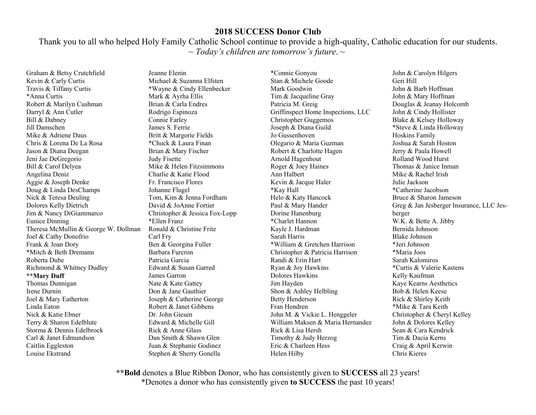Thank you to all who helped Holy Family Catholic School continue to provide a high-quality, Catholic education for our students. ~ *Today's children are tomorrow's future*. ~

Graham & Betsy Crutchfield Kevin & Carly Curtis Travis & Tiffany Curtis \*Anna Curtis Robert & Marilyn Cushman Darryl & Ann Cutler Bill & Dabney Jill Damschen Mike & Adriene Daus Chris & Lorena De La Rosa Jason & Diana Deegan Jeni Jae DeGregorio Bill & Carol Delyea Angelina Deniz Aggie & Joseph Denke Doug & Linda DesChamps Nick & Teresa Deuling Dolores Kelly Dietrich Jim & Nancy DiGiammarco Eunice Dinning Theresa McMullin & George W. Dollman Joel & Cathy Donofrio Frank & Joan Dory \*Mitch & Beth Dremann Roberta Dube Richmond & Whitney Dudley **\*\*Mary Duff**  Thomas Dunnigan Irene Durnin Joel & Mary Eatherton Linda Eaton Nick & Katie Ebner Terry & Sharon Edelblute Storma & Dennis Edelbrock Carl & Janet Edmundson Caitlin Eggleston Louise Ekstrand

Jeanne Elenin Michael & Suzanna Elfsten \*Wayne & Cindy Ellenbecker Mark & Ayrha Ellis Brian & Carla Endres Rodrigo Espinoza Connie Farley James S. Ferrie Britt & Margorie Fields \*Chuck & Laura Finan Brian & Mary Fischer Judy Fisette Mike & Helen Fitzsimmons Charlie & Katie Flood Fr. Francisco Flores Johanne Flugel Tom, Kim & Jenna Fordham David & JoAnne Fortier Christopher & Jessica Fox-Lopp \*Ellen Franz Ronald & Christine Fritz Carl Fry Ben & Georgina Fuller Barbara Furcron Patricia Garcia Edward & Susan Garred James Garron Nate & Kate Gattey Don & Jane Gauthier Joseph & Catherine George Robert & Janet Gibbens Dr. John Giesen Edward & Michelle Gill Rick & Anne Glass Dan Smith & Shawn Glen Juan & Stephanie Godinez Stephen & Sherry Gonella

\*Connie Gonyou Stan & Michele Goode Mark Goodwin Tim & Jacqueline Gray Patricia M. Greig Griffinspect Home Inspections, LLC Christopher Guggemos Joseph & Diana Guild Jo Gussenhoven Olegario & Maria Guzman Robert & Charlotte Hagen Arnold Hagenhout Roger & Joey Haines Ann Halbert Kevin & Jacque Haler \*Kay Hall Helo & Katy Hancock Paul & Mary Hander Dorine Hanenburg \*Charlet Hannon Kayle J. Hardman Sarah Harris \*William & Gretchen Harrison Christopher & Patricia Harrison Randi & Erin Hart Ryan & Joy Hawkins Dolores Hawkins Jim Hayden Shon & Ashley Helbling Betty Henderson Fran Hendren John M. & Vickie L. Henggeler William Maksen & Maria Hernandez Rick & Lisa Hersh Timothy & Judy Herzog Eric & Charleen Hess Helen Hilby

John & Carolyn Hilgers Geri Hill John & Barb Hoffman John & Mary Hoffman Douglas & Jeanay Holcomb John & Cindy Hollister Blake & Kelsey Holloway \*Steve & Linda Holloway Hoskins Family Joshua & Sarah Hoston Jerry & Paula Howell Rolland Wood Hurst Thomas & Janice Inman Mike & Rachel Irish Julie Jackson \*Catherine Jacobson Bruce & Sharon Jameson Greg & Jan Jesberger Insurance, LLC Jesberger W.K. & Bette A. Jibby Bernida Johnson Blake Johnson \*Jeri Johnson \*Maria Joos Sarah Kalomiros \*Curtis & Valerie Kastens Kelly Kaufman Kaye Kearns Aesthetics Bob & Helen Keese Rick & Shirley Keith \*Mike & Tara Keith Christopher & Cheryl Kelley John & Dolores Kelley Sean & Cara Kendrick Tim & Dacia Kerns Craig & April Kerwin Chris Kieres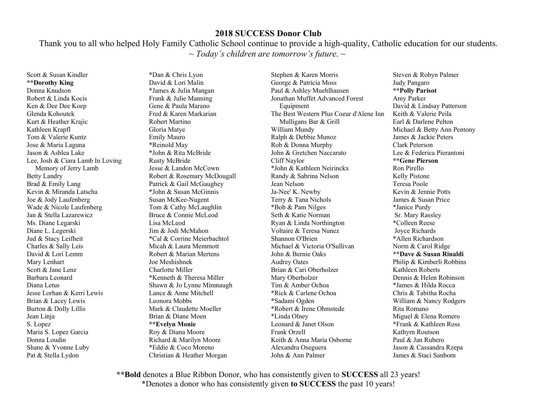Thank you to all who helped Holy Family Catholic School continue to provide a high-quality, Catholic education for our students. ~ *Today's children are tomorrow's future*. ~

Scott & Susan Kindler **\*\*Dorothy King**  Donna Knudson Robert & Linda Kocis Ken & Dee Dee Koep Glenda Kohoutek Kurt & Heather Krajic Kathleen Krapfl Tom & Valerie Kuntz Jose & Maria Laguna Jason & Ashlea Lake Lee, Josh & Ciara Lamb In Loving Memory of Jerry Lamb Betty Landry Brad & Emily Lang Kevin & Miranda Latscha Joe & Jody Laufenberg Wade & Nicole Laufenberg Jan & Stella Lazarewicz Ms. Diane Legarski Diane L. Legerski Jud & Stacy Leifheit Charles & Sally Leis David & Lori Lemm Mary Lenhart Scott & Jane Lenz Barbara Leonard Diana Letus Jesse Lorhan & Kerri Lewis Brian & Lacey Lewis Burton & Dolly Lillis Jean Linja S. Lopez Maria S. Lopez Garcia Donna Loudin Shane & Yvonne Luby Pat & Stella Lydon

\*Dan & Chris Lyon David & Lori Malin \*James & Julia Mangan Frank & Julie Manning Gene & Paula Marano Fred & Karen Markarian Robert Martino Gloria Matye Emily Mauro \*Reinold May \*John & Rita McBride Rusty McBride Jesse & Landon McCown Robert & Rosemary McDougall Patrick & Gail McGaughey \*John & Susan McGinnis Susan McKee-Nugent Tom & Cathy McLaughlin Bruce & Connie McLeod Lisa McLeod Jim & Jodi McMahon \*Cal & Corrine Meierbachtol Micah & Laura Memmott Robert & Marian Mertens Joe Meshishnek Charlotte Miller \*Kenneth & Theresa Miller Shawn & Jo Lynne Mimnaugh Lance & Anne Mitchell Leonora Mobbs Mark & Claudette Moeller Brian & Diane Moen **\*\*Evelyn Monie**  Roy & Diana Moore Richard & Marilyn Moore \*Eddie & Coco Moreno Christian & Heather Morgan

Stephen & Karen Morris George & Patricia Moss Paul & Ashley Muehlhausen Jonathan Muffet Advanced Forest **Equipment** The Best Western Plus Coeur d'Alene Inn Mulligans Bar & Grill William Mundy Ralph & Debbie Munoz Rob & Donna Murphy John & Gretchen Naccarato Cliff Naylor \*John & Kathleen Neirinckx Randy & Sabrina Nelson Jean Nelson Ja-Nee' K. Newby Terry & Tana Nichols \*Bob & Pam Nilges Seth & Katie Norman Ryan & Linda Northington Voltaire & Teresa Nunez Shannon O'Brien Michael & Victoria O'Sullivan John & Bernie Oaks Audrey Oates Brian & Cari Oberholzer Mary Oberholzer Tim & Amber Ochoa \*Rick & Carlene Ochoa \*Sadami Ogden \*Robert & Irene Ohmstede \*Linda Olney Leonard & Janet Olson Frank Orzell Keith & Anna Maria Osborne Alexandra Oseguera John & Ann Palmer

Steven & Robyn Palmer Judy Pangaro **\*\*Polly Parisot**  Amy Parker David & Lindsay Patterson Keith & Valerie Peila Earl & Darlene Pelton Michael & Betty Ann Pentony James & Jackie Peters Clark Peterson Lee & Federica Pierantoni **\*\*Gene Pierson**  Ron Pirello Kelly Pistone Teresa Poole Kevin & Jennie Potts James & Susan Price \*Janice Purdy Sr. Mary Rassley \*Colleen Reese Joyce Richards \*Allen Richardson Norm & Carol Ridge **\*\*Dave & Susan Rinaldi**  Philip & Kimberli Robbins Kathleen Roberts Dennis & Helen Robinson \*James & Hilda Rocca Chris & Tabitha Rocha William & Nancy Rodgers Rita Romano Miguel & Elena Romero \*Frank & Kathleen Ross Kathyrn Routson Paul & Jan Rubero Jason & Cassandra Rzepa James & Staci Sanborn